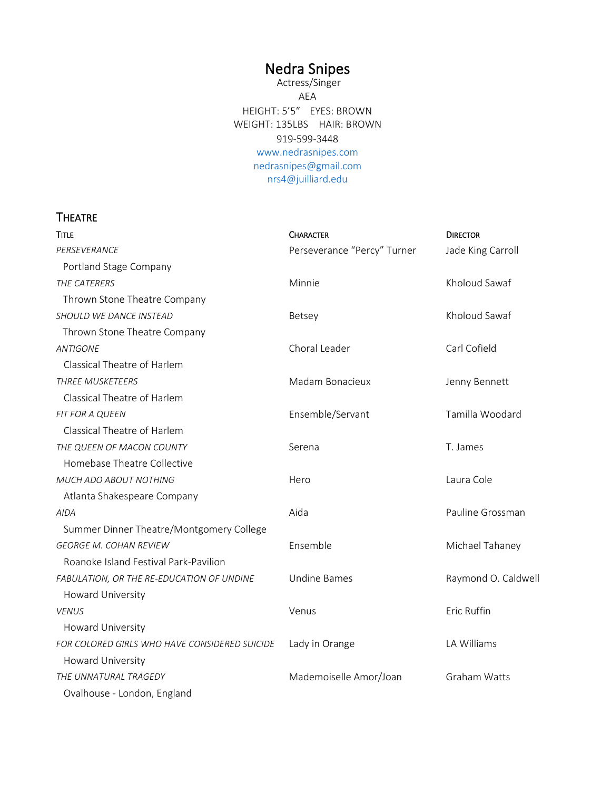# Nedra Snipes

 Actress/Singer AEA HEIGHT: 5'5" EYES: BROWN WEIGHT: 135LBS HAIR: BROWN 919-599-3448 [www.nedrasnipes.com](http://www.nedrasnipes.com/) [nedrasnipes@gmail.com](mailto:nedrasnipes@gmail.com)  nrs4@juilliard.edu

# **THEATRE**

| <b>TITLE</b>                                  | <b>CHARACTER</b>            | <b>DIRECTOR</b>     |
|-----------------------------------------------|-----------------------------|---------------------|
| PERSEVERANCE                                  | Perseverance "Percy" Turner | Jade King Carroll   |
| Portland Stage Company                        |                             |                     |
| THE CATERERS                                  | Minnie                      | Kholoud Sawaf       |
| Thrown Stone Theatre Company                  |                             |                     |
| SHOULD WE DANCE INSTEAD                       | Betsey                      | Kholoud Sawaf       |
| Thrown Stone Theatre Company                  |                             |                     |
| <b>ANTIGONE</b>                               | Choral Leader               | Carl Cofield        |
| Classical Theatre of Harlem                   |                             |                     |
| <b>THREE MUSKETEERS</b>                       | Madam Bonacieux             | Jenny Bennett       |
| Classical Theatre of Harlem                   |                             |                     |
| <b>FIT FOR A QUEEN</b>                        | Ensemble/Servant            | Tamilla Woodard     |
| Classical Theatre of Harlem                   |                             |                     |
| THE QUEEN OF MACON COUNTY                     | Serena                      | T. James            |
| Homebase Theatre Collective                   |                             |                     |
| MUCH ADO ABOUT NOTHING                        | Hero                        | Laura Cole          |
| Atlanta Shakespeare Company                   |                             |                     |
| <b>AIDA</b>                                   | Aida                        | Pauline Grossman    |
| Summer Dinner Theatre/Montgomery College      |                             |                     |
| <b>GEORGE M. COHAN REVIEW</b>                 | Ensemble                    | Michael Tahaney     |
| Roanoke Island Festival Park-Pavilion         |                             |                     |
| FABULATION, OR THE RE-EDUCATION OF UNDINE     | <b>Undine Bames</b>         | Raymond O. Caldwell |
| Howard University                             |                             |                     |
| <b>VENUS</b>                                  | Venus                       | Eric Ruffin         |
| Howard University                             |                             |                     |
| FOR COLORED GIRLS WHO HAVE CONSIDERED SUICIDE | Lady in Orange              | LA Williams         |
| <b>Howard University</b>                      |                             |                     |
| THE UNNATURAL TRAGEDY                         | Mademoiselle Amor/Joan      | Graham Watts        |
| Ovalhouse - London, England                   |                             |                     |